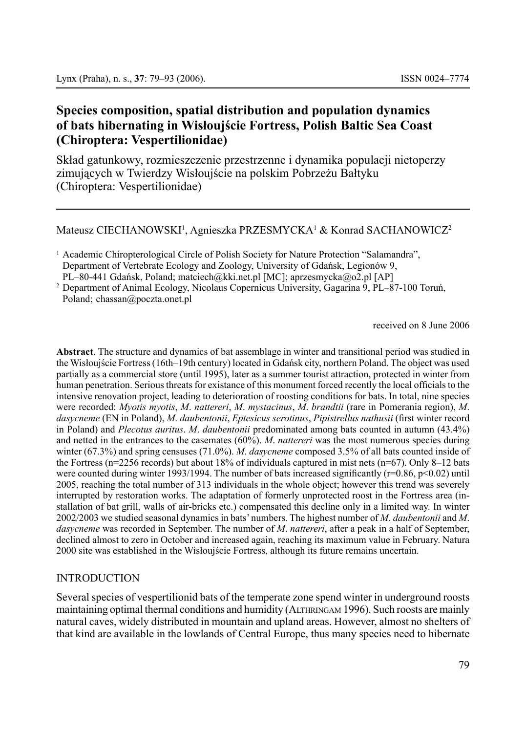# **Species composition, spatial distribution and population dynamics of bats hibernating in Wisłoujście Fortress, Polish Baltic Sea Coast (Chiroptera: Vespertilionidae)**

Skład gatunkowy, rozmieszczenie przestrzenne i dynamika populacji nietoperzy zimujących w Twierdzy Wisłoujście na polskim Pobrzeżu Bałtyku (Chiroptera: Vespertilionidae)

Mateusz CIECHANOWSKI<sup>1</sup>, Agnieszka PRZESMYCKA<sup>1</sup> & Konrad SACHANOWICZ<sup>2</sup>

<sup>1</sup> Academic Chiropterological Circle of Polish Society for Nature Protection "Salamandra". Department of Vertebrate Ecology and Zoology, University of Gdańsk, Legionów 9, PL–80-441 Gdańsk, Poland; matciech@kki.net.pl [MC]; aprzesmycka@o2.pl [AP]

<sup>2</sup> Department of Animal Ecology, Nicolaus Copernicus University, Gagarina 9, PL–87-100 Toruń, Poland; chassan@poczta.onet.pl

received on 8 June 2006

**Abstract**. The structure and dynamics of bat assemblage in winter and transitional period was studied in the Wisłoujście Fortress (16th–19th century) located in Gdańsk city, northern Poland. The object was used partially as a commercial store (until 1995), later as a summer tourist attraction, protected in winter from human penetration. Serious threats for existance of this monument forced recently the local officials to the intensive renovation project, leading to deterioration of roosting conditions for bats. In total, nine species were recorded: *Myotis myotis*, *M*. *nattereri*, *M*. *mystacinus*, *M*. *brandtii* (rare in Pomerania region), *M*. *dasycneme* (EN in Poland), *M*. *daubentonii*, *Eptesicus serotinus*, *Pipistrellus nathusii* (first winter record in Poland) and *Plecotus auritus*. *M*. *daubentonii* predominated among bats counted in autumn (43.4%) and netted in the entrances to the casemates (60%). *M*. *nattereri* was the most numerous species during winter (67.3%) and spring censuses (71.0%). *M*. *dasycneme* composed 3.5% of all bats counted inside of the Fortress (n=2256 records) but about 18% of individuals captured in mist nets (n=67). Only 8–12 bats were counted during winter 1993/1994. The number of bats increased significantly ( $r=0.86$ ,  $p<0.02$ ) until 2005, reaching the total number of 313 individuals in the whole object; however this trend was severely interrupted by restoration works. The adaptation of formerly unprotected roost in the Fortress area (installation of bat grill, walls of air-bricks etc.) compensated this decline only in a limited way. In winter 2002/2003 we studied seasonal dynamics in bats' numbers. The highest number of *M*. *daubentonii* and *M*. *dasycneme* was recorded in September. The number of *M*. *nattereri*, after a peak in a half of September, declined almost to zero in October and increased again, reaching its maximum value in February. Natura 2000 site was established in the Wisłoujście Fortress, although its future remains uncertain.

## INTRODUCTION

Several species of vespertilionid bats of the temperate zone spend winter in underground roosts maintaining optimal thermal conditions and humidity (ALTHRINGAM 1996). Such roosts are mainly natural caves, widely distributed in mountain and upland areas. However, almost no shelters of that kind are available in the lowlands of Central Europe, thus many species need to hibernate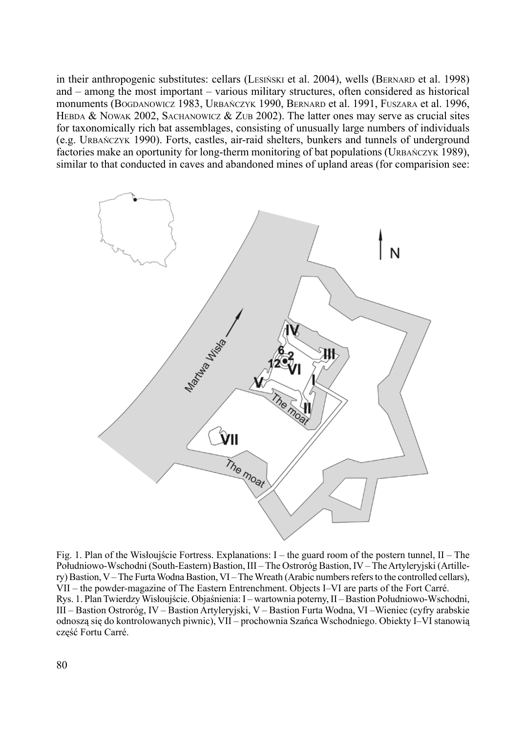in their anthropogenic substitutes: cellars (LESIÑSKI et al. 2004), wells (BERNARD et al. 1998) and – among the most important – various military structures, often considered as historical monuments (Bogdanowicz 1983, Urbańczyk 1990, Bernard et al. 1991, Fuszara et al. 1996, HEBDA & NOWAK 2002, SACHANOWICZ & ZUB 2002). The latter ones may serve as crucial sites for taxonomically rich bat assemblages, consisting of unusually large numbers of individuals (e.g. Urbańczyk 1990). Forts, castles, air-raid shelters, bunkers and tunnels of underground factories make an oportunity for long-therm monitoring of bat populations (URBAŃCZYK 1989), similar to that conducted in caves and abandoned mines of upland areas (for comparision see:



Fig. 1. Plan of the Wisłoujście Fortress. Explanations: I – the guard room of the postern tunnel, II – The Południowo-Wschodni (South-Eastern) Bastion, III – The Ostroróg Bastion, IV – The Artyleryjski (Artillery) Bastion, V – The Furta Wodna Bastion, VI – The Wreath (Arabic numbers refers to the controlled cellars), VII – the powder-magazine of The Eastern Entrenchment. Objects I–VI are parts of the Fort Carré. Rys. 1. Plan Twierdzy Wisłoujście. Objaśnienia: I – wartownia poterny, II – Bastion Południowo-Wschodni, III – Bastion Ostroróg, IV – Bastion Artyleryjski, V – Bastion Furta Wodna, VI –Wieniec (cyfry arabskie odnoszą się do kontrolowanych piwnic), VII – prochownia Szańca Wschodniego. Obiekty I–VI stanowią część Fortu Carré.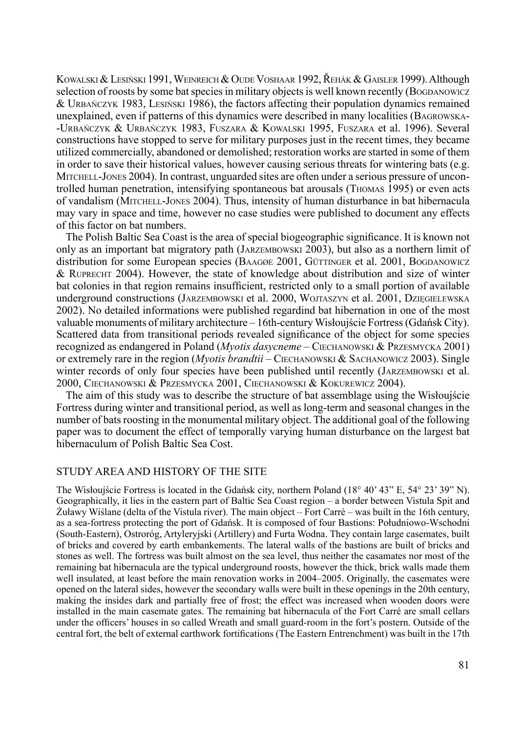Kowalski & Lesiński 1991, Weinreich & Oude Voshaar 1992, Řehák & Gaisler 1999). Although selection of roosts by some bat species in military objects is well known recently (Bogpanowicz & Urbańczyk 1983, Lesiński 1986), the factors affecting their population dynamics remained unexplained, even if patterns of this dynamics were described in many localities (Bagrowska -Urbańczyk & Urbańczyk 1983, Fuszara & Kowalski 1995, Fuszara et al. 1996). Several constructions have stopped to serve for military purposes just in the recent times, they became utilized commercially, abandoned or demolished; restoration works are started in some of them in order to save their historical values, however causing serious threats for wintering bats (e.g. Mitchell-Jones 2004). In contrast, unguarded sites are often under a serious pressure of uncontrolled human penetration, intensifying spontaneous bat arousals (Thomas 1995) or even acts of vandalism (Mitchell-Jones 2004). Thus, intensity of human disturbance in bat hibernacula may vary in space and time, however no case studies were published to document any effects of this factor on bat numbers.

The Polish Baltic Sea Coast is the area of special biogeographic significance. It is known not only as an important bat migratory path (Jarzembowski 2003), but also as a northern limit of distribution for some European species (BAAGØE 2001, GÜTTINGER et al. 2001, BOGDANOWICZ  $&$  RUPRECHT 2004). However, the state of knowledge about distribution and size of winter bat colonies in that region remains insufficient, restricted only to a small portion of available underground constructions (Jarzembowski et al. 2000, Wojtaszyn et al. 2001, Dzięgielewska 2002). No detailed informations were published regardind bat hibernation in one of the most valuable monuments of military architecture – 16th-century Wisłoujście Fortress (Gdańsk City). Scattered data from transitional periods revealed significance of the object for some species recognized as endangered in Poland (*Myotis dasycneme* – Ciechanowski & Przesmycka 2001) or extremely rare in the region (*Myotis brandtii* – Ciechanowski & Sachanowicz 2003). Single winter records of only four species have been published until recently (JARZEMBOWSKI et al. 2000, Ciechanowski & Przesmycka 2001, Ciechanowski & Kokurewicz 2004).

The aim of this study was to describe the structure of bat assemblage using the Wisłoujście Fortress during winter and transitional period, as well as long-term and seasonal changes in the number of bats roosting in the monumental military object. The additional goal of the following paper was to document the effect of temporally varying human disturbance on the largest bat hibernaculum of Polish Baltic Sea Cost.

#### Study areaand history of the site

The Wisłoujście Fortress is located in the Gdańsk city, northern Poland (18° 40' 43" E, 54° 23' 39" N). Geographically, it lies in the eastern part of Baltic Sea Coast region – a border between Vistula Spit and Żuławy Wiślane (delta of the Vistula river). The main object – Fort Carré – was built in the 16th century, as a sea-fortress protecting the port of Gdańsk. It is composed of four Bastions: Południowo-Wschodni (South-Eastern), Ostroróg, Artyleryjski (Artillery) and Furta Wodna. They contain large casemates, built of bricks and covered by earth embankements. The lateral walls of the bastions are built of bricks and stones as well. The fortress was built almost on the sea level, thus neither the casamates nor most of the remaining bat hibernacula are the typical underground roosts, however the thick, brick walls made them well insulated, at least before the main renovation works in 2004–2005. Originally, the casemates were opened on the lateral sides, however the secondary walls were built in these openings in the 20th century, making the insides dark and partially free of frost; the effect was increased when wooden doors were installed in the main casemate gates. The remaining bat hibernacula of the Fort Carré are small cellars under the officers' houses in so called Wreath and small guard-room in the fort's postern. Outside of the central fort, the belt of external earthwork fortifications (The Eastern Entrenchment) was built in the 17th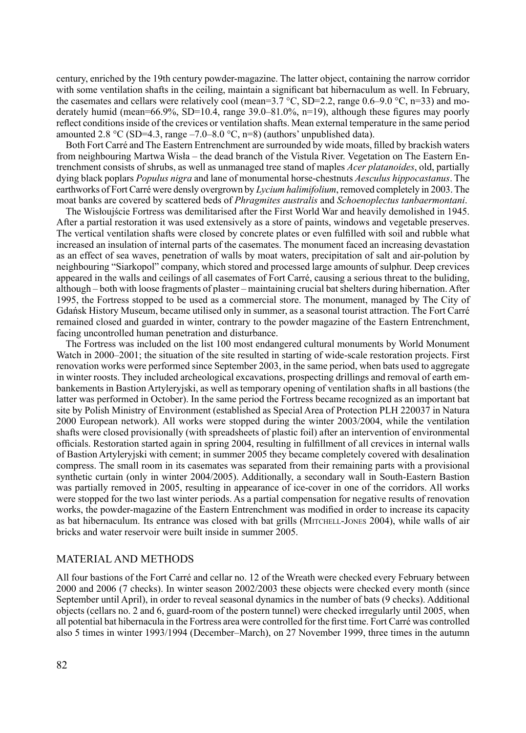century, enriched by the 19th century powder-magazine. The latter object, containing the narrow corridor with some ventilation shafts in the ceiling, maintain a significant bat hibernaculum as well. In February, the casemates and cellars were relatively cool (mean= $3.7 \degree$ C, SD=2.2, range 0.6–9.0  $\degree$ C, n=33) and moderately humid (mean=66.9%, SD=10.4, range 39.0–81.0%, n=19), although these figures may poorly reflect conditions inside of the crevices or ventilation shafts. Mean external temperature in the same period amounted 2.8 °C (SD=4.3, range –7.0–8.0 °C, n=8) (authors' unpublished data).

Both Fort Carré and The Eastern Entrenchment are surrounded by wide moats, filled by brackish waters from neighbouring Martwa Wisła – the dead branch of the Vistula River. Vegetation on The Eastern Entrenchment consists of shrubs, as well as unmanaged tree stand of maples *Acer platanoides*, old, partially dying black poplars *Populus nigra* and lane of monumental horse-chestnuts *Aesculus hippocastanus*. The earthworks of Fort Carré were densly overgrown by *Lycium halimifolium*, removed completely in 2003. The moat banks are covered by scattered beds of *Phragmites australis* and *Schoenoplectus tanbaermontani*.

The Wisłoujście Fortress was demilitarised after the First World War and heavily demolished in 1945. After a partial restoration it was used extensively as a store of paints, windows and vegetable preserves. The vertical ventilation shafts were closed by concrete plates or even fulfilled with soil and rubble what increased an insulation of internal parts of the casemates. The monument faced an increasing devastation as an effect of sea waves, penetration of walls by moat waters, precipitation of salt and air-polution by neighbouring "Siarkopol" company, which stored and processed large amounts of sulphur. Deep crevices appeared in the walls and ceilings of all casemates of Fort Carré, causing a serious threat to the buliding, although – both with loose fragments of plaster – maintaining crucial bat shelters during hibernation. After 1995, the Fortress stopped to be used as a commercial store. The monument, managed by The City of Gdańsk History Museum, became utilised only in summer, as a seasonal tourist attraction. The Fort Carré remained closed and guarded in winter, contrary to the powder magazine of the Eastern Entrenchment, facing uncontrolled human penetration and disturbance.

The Fortress was included on the list 100 most endangered cultural monuments by World Monument Watch in 2000–2001; the situation of the site resulted in starting of wide-scale restoration projects. First renovation works were performed since September 2003, in the same period, when bats used to aggregate in winter roosts. They included archeological excavations, prospecting drillings and removal of earth embankements in Bastion Artyleryjski, as well as temporary opening of ventilation shafts in all bastions (the latter was performed in October). In the same period the Fortress became recognized as an important bat site by Polish Ministry of Environment (established as Special Area of Protection PLH 220037 in Natura 2000 European network). All works were stopped during the winter 2003/2004, while the ventilation shafts were closed provisionally (with spreadsheets of plastic foil) after an intervention of environmental officials. Restoration started again in spring 2004, resulting in fulfillment of all crevices in internal walls of Bastion Artyleryjski with cement; in summer 2005 they became completely covered with desalination compress. The small room in its casemates was separated from their remaining parts with a provisional synthetic curtain (only in winter 2004/2005). Additionally, a secondary wall in South-Eastern Bastion was partially removed in 2005, resulting in appearance of ice-cover in one of the corridors. All works were stopped for the two last winter periods. As a partial compensation for negative results of renovation works, the powder-magazine of the Eastern Entrenchment was modified in order to increase its capacity as bat hibernaculum. Its entrance was closed with bat grills (MITCHELL-JONES 2004), while walls of air bricks and water reservoir were built inside in summer 2005.

### Material and methods

All four bastions of the Fort Carré and cellar no. 12 of the Wreath were checked every February between 2000 and 2006 (7 checks). In winter season 2002/2003 these objects were checked every month (since September until April), in order to reveal seasonal dynamics in the number of bats (9 checks). Additional objects (cellars no. 2 and 6, guard-room of the postern tunnel) were checked irregularly until 2005, when all potential bat hibernacula in the Fortress area were controlled for the first time. Fort Carré was controlled also 5 times in winter 1993/1994 (December–March), on 27 November 1999, three times in the autumn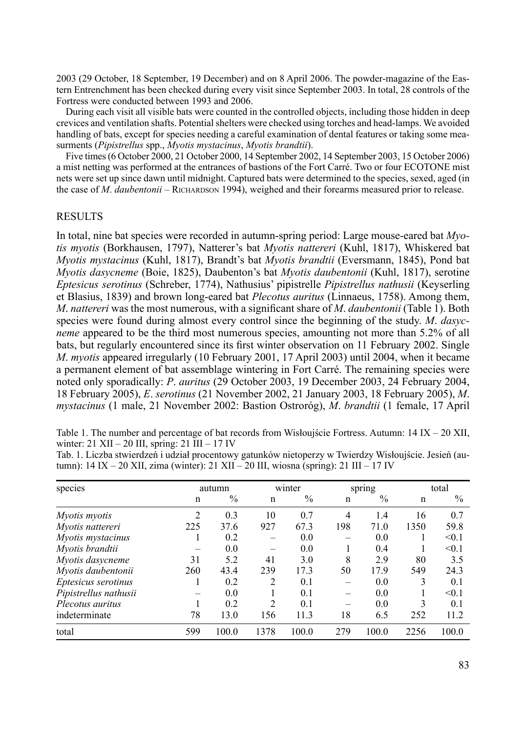2003 (29 October, 18 September, 19 December) and on 8 April 2006. The powder-magazine of the Eastern Entrenchment has been checked during every visit since September 2003. In total, 28 controls of the Fortress were conducted between 1993 and 2006.

During each visit all visible bats were counted in the controlled objects, including those hidden in deep crevices and ventilation shafts. Potential shelters were checked using torches and head-lamps. We avoided handling of bats, except for species needing a careful examination of dental features or taking some measurments (*Pipistrellus* spp., *Myotis mystacinus*, *Myotis brandtii*).

Five times (6 October 2000, 21 October 2000, 14 September 2002, 14 September 2003, 15 October 2006) a mist netting was performed at the entrances of bastions of the Fort Carré. Two or four ECOTONE mist nets were set up since dawn until midnight. Captured bats were determined to the species, sexed, aged (in the case of *M. daubentonii* – RICHARDSON 1994), weighed and their forearms measured prior to release.

#### **RESULTS**

In total, nine bat species were recorded in autumn-spring period: Large mouse-eared bat *Myotis myotis* (Borkhausen, 1797), Natterer's bat *Myotis nattereri* (Kuhl, 1817), Whiskered bat *Myotis mystacinus* (Kuhl, 1817), Brandt's bat *Myotis brandtii* (Eversmann, 1845), Pond bat *Myotis dasycneme* (Boie, 1825), Daubenton's bat *Myotis daubentonii* (Kuhl, 1817), serotine *Eptesicus serotinus* (Schreber, 1774), Nathusius' pipistrelle *Pipistrellus nathusii* (Keyserling et Blasius, 1839) and brown long-eared bat *Plecotus auritus* (Linnaeus, 1758). Among them, *M*. *nattereri* was the most numerous, with a significant share of *M*. *daubentonii* (Table 1). Both species were found during almost every control since the beginning of the study. *M*. *dasycneme* appeared to be the third most numerous species, amounting not more than 5.2% of all bats, but regularly encountered since its first winter observation on 11 February 2002. Single *M*. *myotis* appeared irregularly (10 February 2001, 17 April 2003) until 2004, when it became a permanent element of bat assemblage wintering in Fort Carré. The remaining species were noted only sporadically: *P*. *auritus* (29 October 2003, 19 December 2003, 24 February 2004, 18 February 2005), *E*. *serotinus* (21 November 2002, 21 January 2003, 18 February 2005), *M*. *mystacinus* (1 male, 21 November 2002: Bastion Ostroróg), *M*. *brandtii* (1 female, 17 April

Table 1. The number and percentage of bat records from Wisłoujście Fortress. Autumn: 14 IX – 20 XII, winter: 21 XII – 20 III, spring: 21 III – 17 IV

Tab. 1. Liczba stwierdzeń i udział procentowy gatunków nietoperzy w Twierdzy Wisłoujście. Jesień (autumn): 14 IX – 20 XII, zima (winter): 21 XII – 20 III, wiosna (spring): 21 III – 17 IV

| species               |     | autumn |                | winter        |                | spring |      | total |  |
|-----------------------|-----|--------|----------------|---------------|----------------|--------|------|-------|--|
|                       | n   | $\%$   | n              | $\frac{0}{0}$ | n              | $\%$   | n    | $\%$  |  |
| Myotis myotis         | 2   | 0.3    | 10             | 0.7           | $\overline{4}$ | 1.4    | 16   | 0.7   |  |
| Myotis nattereri      | 225 | 37.6   | 927            | 67.3          | 198            | 71.0   | 1350 | 59.8  |  |
| Myotis mystacinus     |     | 0.2    |                | 0.0           |                | 0.0    |      | < 0.1 |  |
| Myotis brandtii       |     | 0.0    |                | 0.0           |                | 0.4    |      | < 0.1 |  |
| Myotis dasycneme      | 31  | 5.2    | 41             | 3.0           | 8              | 2.9    | 80   | 3.5   |  |
| Myotis daubentonii    | 260 | 43.4   | 239            | 17.3          | 50             | 17.9   | 549  | 24.3  |  |
| Eptesicus serotinus   |     | 0.2    | $\overline{c}$ | 0.1           |                | 0.0    | 3    | 0.1   |  |
| Pipistrellus nathusii |     | 0.0    |                | 0.1           |                | 0.0    |      | < 0.1 |  |
| Plecotus auritus      |     | 0.2    | 2              | 0.1           |                | 0.0    | 3    | 0.1   |  |
| indeterminate         | 78  | 13.0   | 156            | 11.3          | 18             | 6.5    | 252  | 11.2  |  |
| total                 | 599 | 100.0  | 1378           | 100.0         | 279            | 100.0  | 2256 | 100.0 |  |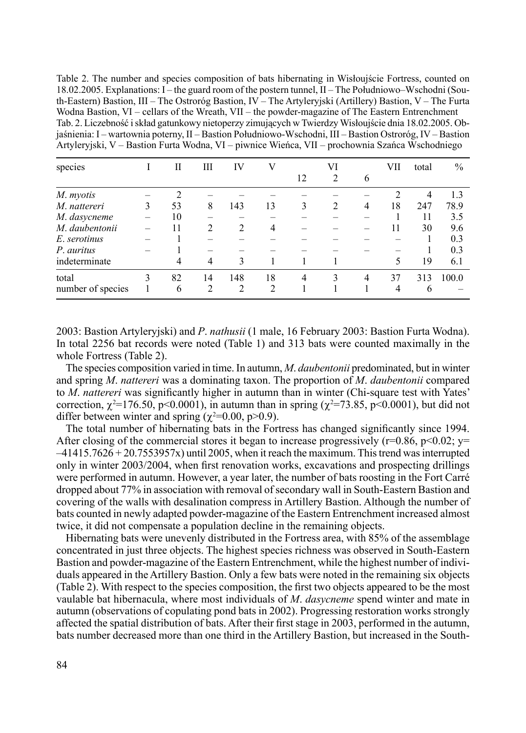Table 2. The number and species composition of bats hibernating in Wisłoujście Fortress, counted on 18.02.2005. Explanations: I – the guard room of the postern tunnel, II – The Południowo–Wschodni (South-Eastern) Bastion, III – The Ostroróg Bastion, IV – The Artyleryjski (Artillery) Bastion, V – The Furta Wodna Bastion, VI – cellars of the Wreath, VII – the powder-magazine of The Eastern Entrenchment Tab. 2. Liczebność i skład gatunkowy nietoperzy zimujących w Twierdzy Wisłoujście dnia 18.02.2005. Objaśnienia: I – wartownia poterny, II – Bastion Południowo-Wschodni, III – Bastion Ostroróg, IV – Bastion Artyleryjski, V – Bastion Furta Wodna, VI – piwnice Wieńca, VII – prochownia Szańca Wschodniego

| species           |   | П  | Ш              | IV             |                |    | VI |   | VІІ | total | $\%$  |
|-------------------|---|----|----------------|----------------|----------------|----|----|---|-----|-------|-------|
|                   |   |    |                |                |                | 12 | 2  | 6 |     |       |       |
| M. myotis         |   | 2  |                |                |                |    |    |   |     | 4     | 1.3   |
| M. nattereri      | 3 | 53 | 8              | 143            | 13             | 3  | 2  | 4 | 18  | 247   | 78.9  |
| M. dasycneme      |   | 10 |                |                |                |    |    |   |     | 11    | 3.5   |
| M. daubentonii    |   | 11 | $\mathfrak{D}$ | 2              | 4              |    |    |   | 11  | 30    | 9.6   |
| E. serotinus      |   |    |                |                |                |    |    |   |     |       | 0.3   |
| P. auritus        |   |    |                |                |                |    |    |   |     |       | 0.3   |
| indeterminate     |   | 4  | 4              | 3              |                |    |    |   | 5   | 19    | 6.1   |
| total             | 3 | 82 | 14             | 148            | 18             | 4  | 3  | 4 | 37  | 313   | 100.0 |
| number of species |   | 6  | 2              | $\mathfrak{D}$ | $\mathfrak{D}$ |    |    |   | 4   | 6     |       |

2003: Bastion Artyleryjski) and *P*. *nathusii* (1 male, 16 February 2003: Bastion Furta Wodna). In total 2256 bat records were noted (Table 1) and 313 bats were counted maximally in the whole Fortress (Table 2).

The species composition varied in time. In autumn, *M*. *daubentonii* predominated, but in winter and spring *M*. *nattereri* was a dominating taxon. The proportion of *M*. *daubentonii* compared to *M*. *nattereri* was significantly higher in autumn than in winter (Chi-square test with Yates' correction,  $\chi^2$ =176.50, p<0.0001), in autumn than in spring ( $\chi^2$ =73.85, p<0.0001), but did not differ between winter and spring ( $\chi^2$ =0.00, p>0.9).

The total number of hibernating bats in the Fortress has changed significantly since 1994. After closing of the commercial stores it began to increase progressively ( $r=0.86$ ,  $p<0.02$ ;  $y=$  $-41415.7626 + 20.7553957x$ ) until 2005, when it reach the maximum. This trend was interrupted only in winter 2003/2004, when first renovation works, excavations and prospecting drillings were performed in autumn. However, a year later, the number of bats roosting in the Fort Carré dropped about 77% in association with removal of secondary wall in South-Eastern Bastion and covering of the walls with desalination compress in Artillery Bastion. Although the number of bats counted in newly adapted powder-magazine of the Eastern Entrenchment increased almost twice, it did not compensate a population decline in the remaining objects.

Hibernating bats were unevenly distributed in the Fortress area, with 85% of the assemblage concentrated in just three objects. The highest species richness was observed in South-Eastern Bastion and powder-magazine of the Eastern Entrenchment, while the highest number of individuals appeared in the Artillery Bastion. Only a few bats were noted in the remaining six objects (Table 2). With respect to the species composition, the first two objects appeared to be the most vaulable bat hibernacula, where most individuals of *M*. *dasycneme* spend winter and mate in autumn (observations of copulating pond bats in 2002). Progressing restoration works strongly affected the spatial distribution of bats. After their first stage in 2003, performed in the autumn, bats number decreased more than one third in the Artillery Bastion, but increased in the South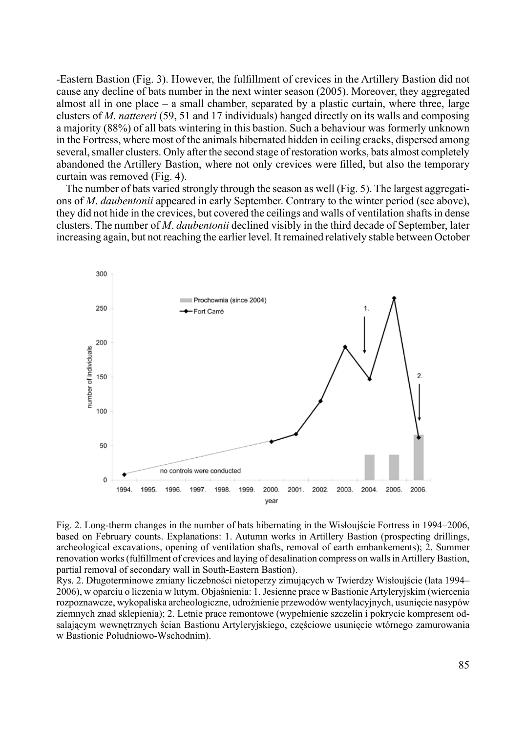-Eastern Bastion (Fig. 3). However, the fulfillment of crevices in the Artillery Bastion did not cause any decline of bats number in the next winter season (2005). Moreover, they aggregated almost all in one place  $-$  a small chamber, separated by a plastic curtain, where three, large clusters of *M*. *nattereri* (59, 51 and 17 individuals) hanged directly on its walls and composing a majority (88%) of all bats wintering in this bastion. Such a behaviour was formerly unknown in the Fortress, where most of the animals hibernated hidden in ceiling cracks, dispersed among several, smaller clusters. Only after the second stage of restoration works, bats almost completely abandoned the Artillery Bastion, where not only crevices were filled, but also the temporary curtain was removed (Fig. 4).

The number of bats varied strongly through the season as well (Fig. 5). The largest aggregations of *M*. *daubentonii* appeared in early September. Contrary to the winter period (see above), they did not hide in the crevices, but covered the ceilings and walls of ventilation shafts in dense clusters. The number of *M*. *daubentonii* declined visibly in the third decade of September, later increasing again, but not reaching the earlier level. It remained relatively stable between October



Fig. 2. Long-therm changes in the number of bats hibernating in the Wisłoujście Fortress in 1994–2006, based on February counts. Explanations: 1. Autumn works in Artillery Bastion (prospecting drillings, archeological excavations, opening of ventilation shafts, removal of earth embankements); 2. Summer renovation works (fulfillment of crevices and laying of desalination compress on walls in Artillery Bastion, partial removal of secondary wall in South-Eastern Bastion).

Rys. 2. Długoterminowe zmiany liczebności nietoperzy zimujących w Twierdzy Wisłoujście (lata 1994– 2006), w oparciu o liczenia w lutym. Objaśnienia: 1. Jesienne prace w Bastionie Artyleryjskim (wiercenia rozpoznawcze, wykopaliska archeologiczne, udrożnienie przewodów wentylacyjnych, usunięcie nasypów ziemnych znad sklepienia); 2. Letnie prace remontowe (wypełnienie szczelin i pokrycie kompresem odsalającym wewnętrznych ścian Bastionu Artyleryjskiego, częściowe usunięcie wtórnego zamurowania w Bastionie Południowo-Wschodnim).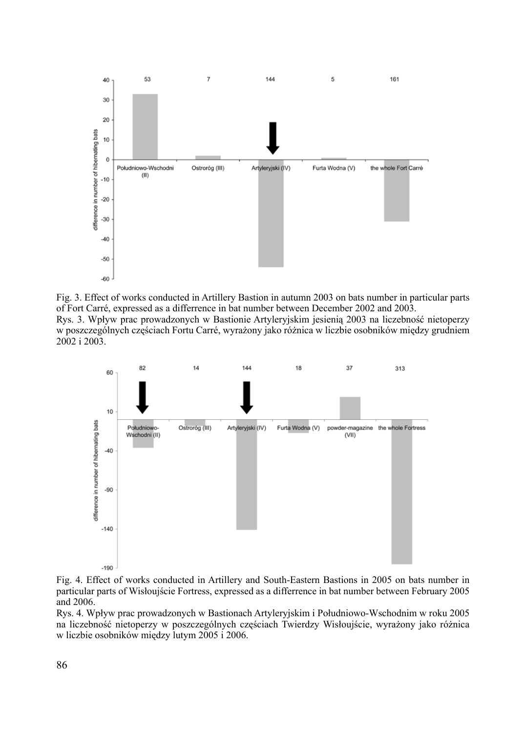

Fig. 3. Effect of works conducted in Artillery Bastion in autumn 2003 on bats number in particular parts of Fort Carré, expressed as a differrence in bat number between December 2002 and 2003. Rys. 3. Wpływ prac prowadzonych w Bastionie Artyleryjskim jesienią 2003 na liczebność nietoperzy

w poszczególnych częściach Fortu Carré, wyrażony jako różnica w liczbie osobników między grudniem 2002 i 2003.



Fig. 4. Effect of works conducted in Artillery and South-Eastern Bastions in 2005 on bats number in particular parts of Wisłoujście Fortress, expressed as a differrence in bat number between February 2005 and 2006.

Rys. 4. Wpływ prac prowadzonych w Bastionach Artyleryjskim i Południowo-Wschodnim w roku 2005 na liczebność nietoperzy w poszczególnych częściach Twierdzy Wisłoujście, wyrażony jako różnica w liczbie osobników między lutym 2005 i 2006.

86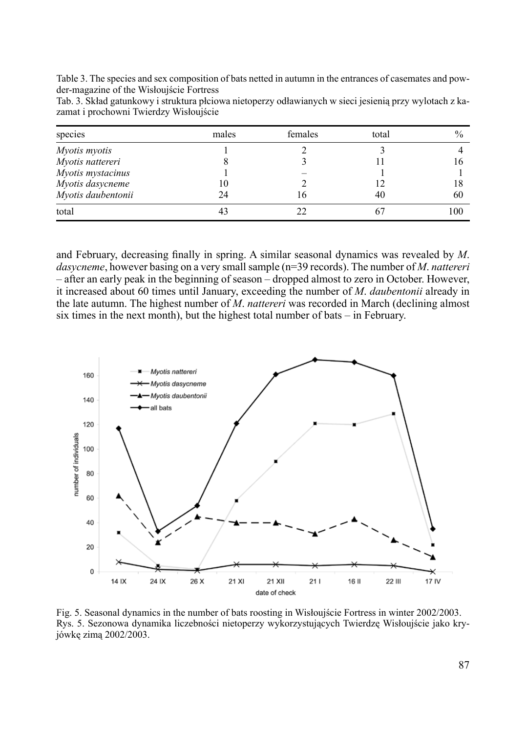Table 3. The species and sex composition of bats netted in autumn in the entrances of casemates and powder-magazine of the Wisłoujście Fortress

| Tab. 3. Skład gatunkowy i struktura płciowa nietoperzy odławianych w sieci jesienia przy wylotach z ka- |  |  |  |
|---------------------------------------------------------------------------------------------------------|--|--|--|
| zamat i prochowni Twierdzy Wisłoujście                                                                  |  |  |  |

| species              | males | females | total | $\%$ |
|----------------------|-------|---------|-------|------|
| <i>Myotis myotis</i> |       |         |       |      |
| Myotis nattereri     |       |         |       | 16   |
| Myotis mystacinus    |       |         |       |      |
| Myotis dasycneme     | 10    |         |       | 18   |
| Myotis daubentonii   | 24    | 16      | 40    | 60   |
| total                | 43    |         |       | 100  |

and February, decreasing finally in spring. A similar seasonal dynamics was revealed by *M*. *dasycneme*, however basing on a very small sample (n=39 records). The number of *M*. *nattereri* – after an early peak in the beginning of season – dropped almost to zero in October. However, it increased about 60 times until January, exceeding the number of *M*. *daubentonii* already in the late autumn. The highest number of *M*. *nattereri* was recorded in March (declining almost six times in the next month), but the highest total number of bats – in February.



Fig. 5. Seasonal dynamics in the number of bats roosting in Wisłoujście Fortress in winter 2002/2003. Rys. 5. Sezonowa dynamika liczebności nietoperzy wykorzystujących Twierdzę Wisłoujście jako kryjówkę zimą 2002/2003.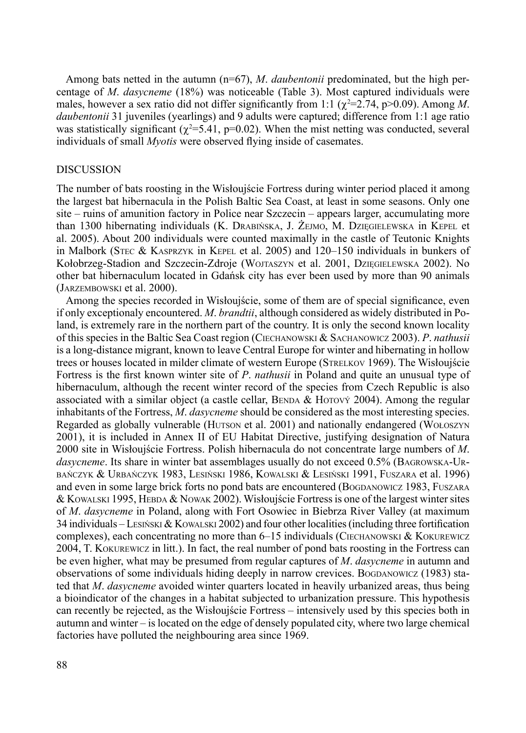Among bats netted in the autumn (n=67), *M*. *daubentonii* predominated, but the high percentage of *M*. *dasycneme* (18%) was noticeable (Table 3). Most captured individuals were males, however a sex ratio did not differ significantly from 1:1 ( $\chi^2$ =2.74, p>0.09). Among *M*. *daubentonii* 31 juveniles (yearlings) and 9 adults were captured; difference from 1:1 age ratio was statistically significant ( $\chi^2$ =5.41, p=0.02). When the mist netting was conducted, several individuals of small *Myotis* were observed flying inside of casemates.

#### **DISCUSSION**

The number of bats roosting in the Wisłoujście Fortress during winter period placed it among the largest bat hibernacula in the Polish Baltic Sea Coast, at least in some seasons. Only one site – ruins of amunition factory in Police near Szczecin – appears larger, accumulating more than 1300 hibernating individuals (K. Drabińska, J. Żejmo, M. Dzięgielewska in Kepel et al. 2005). About 200 individuals were counted maximally in the castle of Teutonic Knights in Malbork (Stec & Kasprzyk in Kepel et al. 2005) and 120–150 individuals in bunkers of Kołobrzeg-Stadion and Szczecin-Zdroje (Wojtaszyn et al. 2001, Dzięgielewska 2002). No other bat hibernaculum located in Gdańsk city has ever been used by more than 90 animals (Jarzembowski et al. 2000).

Among the species recorded in Wisłoujście, some of them are of special significance, even if only exceptionaly encountered. *M*. *brandtii*, although considered as widely distributed in Poland, is extremely rare in the northern part of the country. It is only the second known locality of this species in the Baltic Sea Coast region (Ciechanowski & Sachanowicz 2003). *P*. *nathusii* is a long-distance migrant, known to leave Central Europe for winter and hibernating in hollow trees or houses located in milder climate of western Europe (Strelkov 1969). The Wisłoujście Fortress is the first known winter site of *P*. *nathusii* in Poland and quite an unusual type of hibernaculum, although the recent winter record of the species from Czech Republic is also associated with a similar object (a castle cellar, BENDA & HOTOVÝ 2004). Among the regular inhabitants of the Fortress, *M*. *dasycneme* should be considered as the most interesting species. Regarded as globally vulnerable (Hutson et al. 2001) and nationally endangered (Wołoszyn 2001), it is included in Annex II of EU Habitat Directive, justifying designation of Natura 2000 site in Wisłoujście Fortress. Polish hibernacula do not concentrate large numbers of *M*. *dasycneme*. Its share in winter bat assemblages usually do not exceed 0.5% (Bagrowska-Urbańczyk & Urbańczyk 1983, Lesiński 1986, Kowalski & Lesiński 1991, Fuszara et al. 1996) and even in some large brick forts no pond bats are encountered (BOGDANOWICZ 1983, FUSZARA & Kowalski 1995, Hebda & Nowak 2002). Wisłoujście Fortress is one of the largest winter sites of *M*. *dasycneme* in Poland, along with Fort Osowiec in Biebrza River Valley (at maximum 34 individuals – Lesn'ski & Kowalski 2002) and four other localities (including three fortification complexes), each concentrating no more than  $6-15$  individuals (CIECHANOWSKI & KOKUREWICZ 2004, T. Kokurewicz in litt.). In fact, the real number of pond bats roosting in the Fortress can be even higher, what may be presumed from regular captures of *M*. *dasycneme* in autumn and observations of some individuals hiding deeply in narrow crevices. Bogdanowicz (1983) stated that *M*. *dasycneme* avoided winter quarters located in heavily urbanized areas, thus being a bioindicator of the changes in a habitat subjected to urbanization pressure. This hypothesis can recently be rejected, as the Wisłoujście Fortress – intensively used by this species both in autumn and winter – is located on the edge of densely populated city, where two large chemical factories have polluted the neighbouring area since 1969.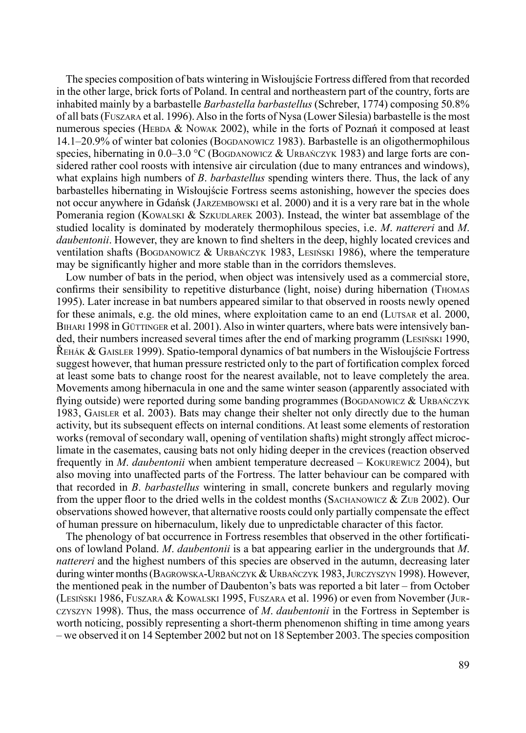The species composition of bats wintering in Wisłoujście Fortress differed from that recorded in the other large, brick forts of Poland. In central and northeastern part of the country, forts are inhabited mainly by a barbastelle *Barbastella barbastellus* (Schreber, 1774) composing 50.8% of all bats (Fuszara et al. 1996). Also in the forts of Nysa (Lower Silesia) barbastelle is the most numerous species (HEBDA  $&$  Nowak 2002), while in the forts of Poznań it composed at least 14.1–20.9% of winter bat colonies (Bogdanowicz 1983). Barbastelle is an oligothermophilous species, hibernating in  $0.0-3.0$  °C (BOGDANOWICZ & URBAŃCZYK 1983) and large forts are considered rather cool roosts with intensive air circulation (due to many entrances and windows), what explains high numbers of *B*. *barbastellus* spending winters there. Thus, the lack of any barbastelles hibernating in Wisłoujście Fortress seems astonishing, however the species does not occur anywhere in Gdańsk (Jarzembowski et al. 2000) and it is a very rare bat in the whole Pomerania region (KOWALSKI & SZKUDLAREK 2003). Instead, the winter bat assemblage of the studied locality is dominated by moderately thermophilous species, i.e. *M*. *nattereri* and *M*. *daubentonii*. However, they are known to find shelters in the deep, highly located crevices and ventilation shafts (BOGDANOWICZ & URBAŃCZYK 1983, LESIŃSKI 1986), where the temperature may be significantly higher and more stable than in the corridors themsleves.

Low number of bats in the period, when object was intensively used as a commercial store, confirms their sensibility to repetitive disturbance (light, noise) during hibernation (Thomas 1995). Later increase in bat numbers appeared similar to that observed in roosts newly opened for these animals, e.g. the old mines, where exploitation came to an end (LUTSAR et al. 2000, BIHARI 1998 in GÜTTINGER et al. 2001). Also in winter quarters, where bats were intensively banded, their numbers increased several times after the end of marking programm (Lesiński 1990, Řehák & Gaisler 1999). Spatio-temporal dynamics of bat numbers in the Wisłoujście Fortress suggest however, that human pressure restricted only to the part of fortification complex forced at least some bats to change roost for the nearest available, not to leave completely the area. Movements among hibernacula in one and the same winter season (apparently associated with flying outside) were reported during some banding programmes (BOGDANOWICZ  $&$  URBANCZYK 1983, Gaisler et al. 2003). Bats may change their shelter not only directly due to the human activity, but its subsequent effects on internal conditions. At least some elements of restoration works (removal of secondary wall, opening of ventilation shafts) might strongly affect microclimate in the casemates, causing bats not only hiding deeper in the crevices (reaction observed frequently in *M*. *daubentonii* when ambient temperature decreased – Kokurewicz 2004), but also moving into unaffected parts of the Fortress. The latter behaviour can be compared with that recorded in *B*. *barbastellus* wintering in small, concrete bunkers and regularly moving from the upper floor to the dried wells in the coldest months (Sachanowicz & Zub 2002). Our observations showed however, that alternative roosts could only partially compensate the effect of human pressure on hibernaculum, likely due to unpredictable character of this factor.

The phenology of bat occurrence in Fortress resembles that observed in the other fortifications of lowland Poland. *M*. *daubentonii* is a bat appearing earlier in the undergrounds that *M*. *nattereri* and the highest numbers of this species are observed in the autumn, decreasing later during winter months (Bagrowska-Urbańczyk & Urbańczyk 1983, Jurczyszyn 1998). However, the mentioned peak in the number of Daubenton's bats was reported a bit later – from October (Lesiński 1986, Fuszara & Kowalski 1995, Fuszara et al. 1996) or even from November (Jurczyszyn 1998). Thus, the mass occurrence of *M*. *daubentonii* in the Fortress in September is worth noticing, possibly representing a short-therm phenomenon shifting in time among years – we observed it on 14 September 2002 but not on 18 September 2003. The species composition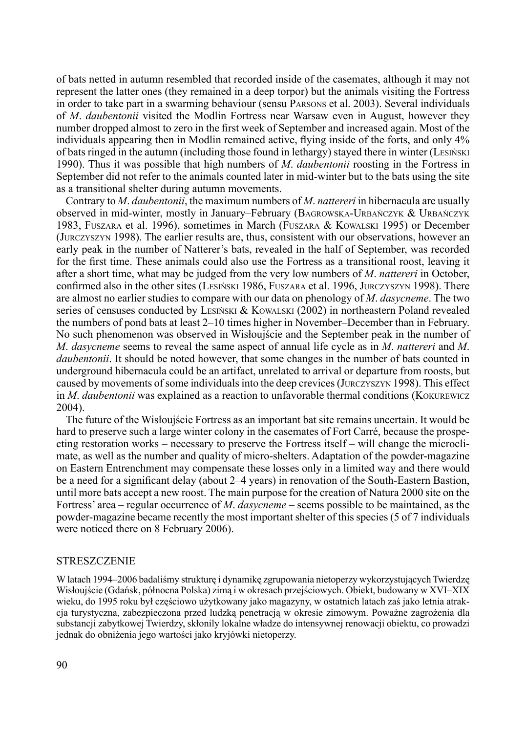of bats netted in autumn resembled that recorded inside of the casemates, although it may not represent the latter ones (they remained in a deep torpor) but the animals visiting the Fortress in order to take part in a swarming behaviour (sensu Parsons et al. 2003). Several individuals of *M*. *daubentonii* visited the Modlin Fortress near Warsaw even in August, however they number dropped almost to zero in the first week of September and increased again. Most of the individuals appearing then in Modlin remained active, flying inside of the forts, and only 4% of bats ringed in the autumn (including those found in lethargy) stayed there in winter (Lesiński 1990). Thus it was possible that high numbers of *M*. *daubentonii* roosting in the Fortress in September did not refer to the animals counted later in mid-winter but to the bats using the site as a transitional shelter during autumn movements.

Contrary to *M*. *daubentonii*, the maximum numbers of *M*. *nattereri* in hibernacula are usually observed in mid-winter, mostly in January–February (Bagrowska-Urbańczyk & Urbańczyk 1983, Fuszara et al. 1996), sometimes in March (Fuszara & Kowalski 1995) or December (Jurczyszyn 1998). The earlier results are, thus, consistent with our observations, however an early peak in the number of Natterer's bats, revealed in the half of September, was recorded for the first time. These animals could also use the Fortress as a transitional roost, leaving it after a short time, what may be judged from the very low numbers of *M*. *nattereri* in October, confirmed also in the other sites (Lesiński 1986, Fuszara et al. 1996, Jurczyszyn 1998). There are almost no earlier studies to compare with our data on phenology of *M*. *dasycneme*. The two series of censuses conducted by LESINSKI & KOWALSKI (2002) in northeastern Poland revealed the numbers of pond bats at least 2–10 times higher in November–December than in February. No such phenomenon was observed in Wisłoujście and the September peak in the number of *M*. *dasycneme* seems to reveal the same aspect of annual life cycle as in *M*. *nattereri* and *M*. *daubentonii*. It should be noted however, that some changes in the number of bats counted in underground hibernacula could be an artifact, unrelated to arrival or departure from roosts, but caused by movements of some individuals into the deep crevices (Jurczyszyn 1998). This effect in *M*. *daubentonii* was explained as a reaction to unfavorable thermal conditions (Kokurewicz 2004).

The future of the Wisłoujście Fortress as an important bat site remains uncertain. It would be hard to preserve such a large winter colony in the casemates of Fort Carré, because the prospecting restoration works – necessary to preserve the Fortress itself – will change the microclimate, as well as the number and quality of micro-shelters. Adaptation of the powder-magazine on Eastern Entrenchment may compensate these losses only in a limited way and there would be a need for a significant delay (about 2–4 years) in renovation of the South-Eastern Bastion, until more bats accept a new roost. The main purpose for the creation of Natura 2000 site on the Fortress' area – regular occurrence of *M*. *dasycneme* – seems possible to be maintained, as the powder-magazine became recently the most important shelter of this species (5 of 7 individuals were noticed there on 8 February 2006).

#### **STRESZCZENIE**

W latach 1994–2006 badaliśmy strukturę i dynamikę zgrupowania nietoperzy wykorzystujących Twierdzę Wisłoujście (Gdańsk, północna Polska) zimą i w okresach przejściowych. Obiekt, budowany w XVI–XIX wieku, do 1995 roku był częściowo użytkowany jako magazyny, w ostatnich latach zaś jako letnia atrakcja turystyczna, zabezpieczona przed ludzką penetracją w okresie zimowym. Poważne zagrożenia dla substancji zabytkowej Twierdzy, skłonily lokalne władze do intensywnej renowacji obiektu, co prowadzi jednak do obniżenia jego wartości jako kryjówki nietoperzy.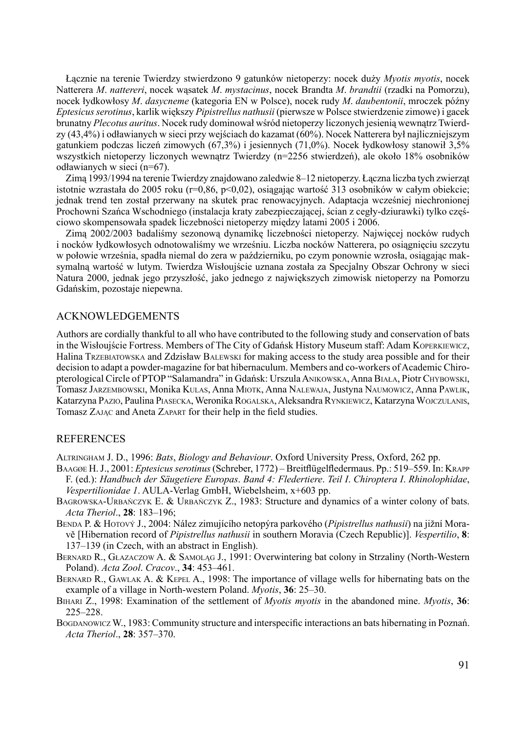Łącznie na terenie Twierdzy stwierdzono 9 gatunków nietoperzy: nocek duży *Myotis myotis*, nocek Natterera *M*. *nattereri*, nocek wąsatek *M*. *mystacinus*, nocek Brandta *M*. *brandtii* (rzadki na Pomorzu), nocek łydkowłosy *M*. *dasycneme* (kategoria EN w Polsce), nocek rudy *M*. *daubentonii*, mroczek późny *Eptesicusserotinus*, karlik większy *Pipistrellus nathusii* (pierwsze w Polsce stwierdzenie zimowe) i gacek brunatny *Plecotus auritus*. Nocek rudy dominował wśród nietoperzy liczonych jesienią wewnątrz Twierdzy (43,4%) i odławianych w sieci przy wejściach do kazamat (60%). Nocek Natterera był najliczniejszym gatunkiem podczas liczeń zimowych (67,3%) i jesiennych (71,0%). Nocek łydkowłosy stanowił 3,5% wszystkich nietoperzy liczonych wewnątrz Twierdzy (n=2256 stwierdzeń), ale około 18% osobników odławianych w sieci (n=67).

Zimą 1993/1994 na terenie Twierdzy znajdowano zaledwie 8–12 nietoperzy. Łączna liczba tych zwierząt istotnie wzrastała do 2005 roku (r=0,86, p<0,02), osiągając wartość 313 osobników w całym obiekcie; jednak trend ten został przerwany na skutek prac renowacyjnych. Adaptacja wcześniej niechronionej Prochowni Szańca Wschodniego (instalacja kraty zabezpieczającej, ścian z cegły-dziurawki) tylko częściowo skompensowała spadek liczebności nietoperzy między latami 2005 i 2006.

Zimą 2002/2003 badaliśmy sezonową dynamikę liczebności nietoperzy. Najwięcej nocków rudych i nocków łydkowłosych odnotowaliśmy we wrześniu. Liczba nocków Natterera, po osiągnięciu szczytu w połowie września, spadła niemal do zera w październiku, po czym ponownie wzrosła, osiągając maksymalną wartość w lutym. Twierdza Wisłoujście uznana została za Specjalny Obszar Ochrony w sieci Natura 2000, jednak jego przyszłość, jako jednego z największych zimowisk nietoperzy na Pomorzu Gdańskim, pozostaje niepewna.

#### Acknowledgements

Authors are cordially thankful to all who have contributed to the following study and conservation of bats in the Wisłoujście Fortress. Members of The City of Gdańsk History Museum staff: Adam Koperkiewicz, Halina Trzebiatowska and Zdzisław Balewski for making access to the study area possible and for their decision to adapt a powder-magazine for bat hibernaculum. Members and co-workers of Academic Chiropterological Circle of PTOP "Salamandra" in Gdańsk: Urszula Anikowska, Anna Biała, Piotr Chybowski, Tomasz Jarzembowski, Monika Kulas, Anna Miotk, Anna Nalewaja, Justyna Naumowicz, Anna Pawlik, Katarzyna Pazio, Paulina Piasecka, Weronika Rogalska, Aleksandra Rynkiewicz, Katarzyna Wojczulanis, Tomasz ZAJAC and Aneta ZAPART for their help in the field studies.

#### **REFERENCES**

Altringham J. D., 1996: *Bats*, *Biology and Behaviour*. Oxford University Press, Oxford, 262 pp.

- Baagøe H. J., 2001: *Eptesicusserotinus* (Schreber, 1772) Breitflügelfledermaus. Pp.: 519–559. In: Krapp F. (ed.): *Handbuch der Säugetiere Europas*. *Band 4: Fledertiere*. *Teil I*. *Chiroptera I*. *Rhinolophidae*, *Vespertilionidae 1*. AULA-Verlag GmbH, Wiebelsheim, x+603 pp.
- Bagrowska-Urbańczyk E. & Urbańczyk Z., 1983: Structure and dynamics of a winter colony of bats. *Acta Theriol*., **28**: 183–196;
- Benda P. & Hotový J., 2004: Nález zimujícího netopýra parkového (*Pipistrellus nathusii*) na jižní Moravě [Hibernation record of *Pipistrellus nathusii* in southern Moravia (Czech Republic)]. *Vespertilio*, **8**: 137–139 (in Czech, with an abstract in English).
- Bernard R., Głazaczow A. & Samoląg J., 1991: Overwintering bat colony in Strzaliny (North-Western Poland). *Acta Zool*. *Cracov*., **34**: 453–461.
- BERNARD R., GAWLAK A. & KEPEL A., 1998: The importance of village wells for hibernating bats on the example of a village in North-western Poland. *Myotis*, **36**: 25–30.
- Bihari Z., 1998: Examination of the settlement of *Myotis myotis* in the abandoned mine. *Myotis*, **36**: 225–228.
- Bogdanowicz W., 1983: Community structure and interspecific interactions an bats hibernating in Poznań. *Acta Theriol*., **28**: 357–370.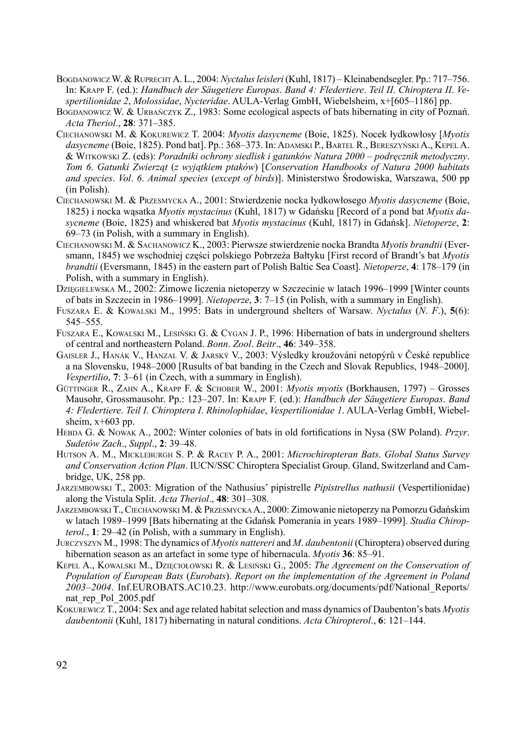- Bogdanowicz W. & RuprechtA. L., 2004: *Nyctalusleisleri* (Kuhl, 1817) Kleinabendsegler. Pp.: 717–756. In: Krapp F. (ed.): *Handbuch der Säugetiere Europas*. *Band 4: Fledertiere*. *Teil II*. *Chiroptera II*. *Vespertilionidae 2*, *Molossidae*, *Nycteridae*. AULA-Verlag GmbH, Wiebelsheim, x+[605–1186] pp.
- BOGDANOWICZ W. & URBAŃCZYK Z., 1983: Some ecological aspects of bats hibernating in city of Poznań. *Acta Theriol*., **28**: 371–385.
- Ciechanowski M. & Kokurewicz T. 2004: *Myotis dasycneme* (Boie, 1825). Nocek łydkowłosy [*Myotis dasycneme* (Boie, 1825). Pond bat]. Pp.: 368–373. In: Adamski P., Bartel R., Bereszyński A., Kepel A. & Witkowski Z. (eds): *Poradniki ochrony siedlisk i gatunków Natura 2000 – podręcznik metodyczny*. *Tom 6*. *Gatunki Zwierząt* (*z wyjątkiem ptaków*) [*Conservation Handbooks of Natura 2000 habitats and species*. *Vol*. *6*. *Animal species* (*except of birds*)]. Ministerstwo Środowiska, Warszawa, 500 pp (in Polish).
- Ciechanowski M. & Przesmycka A., 2001: Stwierdzenie nocka łydkowłosego *Myotis dasycneme* (Boie, 1825) i nocka wąsatka *Myotis mystacinus* (Kuhl, 1817) w Gdańsku [Record of a pond bat *Myotis dasycneme* (Boie, 1825) and whiskered bat *Myotis mystacinus* (Kuhl, 1817) in Gdańsk]. *Nietoperze*, **2**: 69–73 (in Polish, with a summary in English).
- Ciechanowski M. & Sachanowicz K., 2003: Pierwsze stwierdzenie nocka Brandta *Myotis brandtii* (Eversmann, 1845) we wschodniej części polskiego Pobrzeża Bałtyku [First record of Brandt's bat *Myotis brandtii* (Eversmann, 1845) in the eastern part of Polish Baltic Sea Coast]. *Nietoperze*, **4**: 178–179 (in Polish, with a summary in English).
- Dzięgielewska M., 2002: Zimowe liczenia nietoperzy w Szczecinie w latach 1996–1999 [Winter counts of bats in Szczecin in 1986–1999]. *Nietoperze*, **3**: 7–15 (in Polish, with a summary in English).
- Fuszara E. & Kowalski M., 1995: Bats in underground shelters of Warsaw. *Nyctalus* (*N*. *F*.), **5**(6): 545–555.
- Fuszara E., Kowalski M., Lesiński G. & Cygan J. P., 1996: Hibernation of bats in underground shelters of central and northeastern Poland. *Bonn*. *Zool*. *Beitr*., **46**: 349–358.
- Gaisler J., Hanák V., Hanzal V. & Jarský V., 2003: Výsledky kroužováni netopýrů v České republice a na Slovensku, 1948–2000 [Rusults of bat banding in the Czech and Slovak Republics, 1948–2000]. *Vespertilio*, **7**: 3–61 (in Czech, with a summary in English).
- Güttinger R., Zahn A., Krapp F. & Schober W., 2001: *Myotis myotis* (Borkhausen, 1797) Grosses Mausohr, Grossmausohr. Pp.: 123–207. In: Krapp F. (ed.): *Handbuch der Säugetiere Europas*. *Band 4: Fledertiere*. *Teil I*. *Chiroptera I*. *Rhinolophidae*, *Vespertilionidae 1*. AULA-Verlag GmbH, Wiebelsheim,  $x+603$  pp.
- Hebda G. & Nowak A., 2002: Winter colonies of bats in old fortifications in Nysa (SW Poland). *Przyr*. *Sudetów Zach*., *Suppl*., **2**: 39–48.
- Hutson A. M., Mickleburgh S. P. & Racey P. A., 2001: *Microchiropteran Bats*. *Global Status Survey and Conservation Action Plan*. IUCN/SSC Chiroptera Specialist Group. Gland, Switzerland and Cambridge, UK, 258 pp.
- Jarzembowski T., 2003: Migration of the Nathusius' pipistrelle *Pipistrellus nathusii* (Vespertilionidae) along the Vistula Split. *Acta Theriol*., **48**: 301–308.
- Jarzembowski T., Ciechanowski M. & Przesmycka A., 2000: Zimowanie nietoperzy na Pomorzu Gdańskim w latach 1989–1999 [Bats hibernating at the Gdańsk Pomerania in years 1989–1999]. *Studia Chiropterol*., **1**: 29–42 (in Polish, with a summary in English).
- Jurczyszyn M., 1998: The dynamics of *Myotis nattereri* and *M*. *daubentonii* (Chiroptera) observed during hibernation season as an artefact in some type of hibernacula. *Myotis* **36**: 85–91.
- Kepel A., Kowalski M., Dzięciołowski R. & Lesiński G., 2005: *The Agreement on the Conservation of Population of European Bats* (*Eurobats*). *Report on the implementation of the Agreement in Poland 2003–2004*. Inf.EUROBATS.AC10.23. http://www.eurobats.org/documents/pdf/National\_Reports/ nat rep\_Pol\_2005.pdf
- Kokurewicz T., 2004: Sex and age related habitat selection and mass dynamics of Daubenton's bats *Myotis daubentonii* (Kuhl, 1817) hibernating in natural conditions. *Acta Chiropterol*., **6**: 121–144.